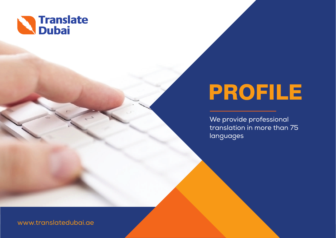

# PROFILE

We provide professional translation in more than 75 languages

www.translatedubai.ae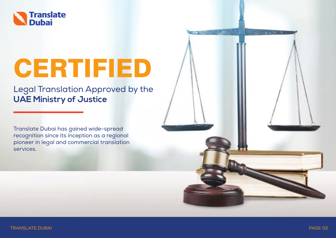

# CERTIFIED

Legal Translation Approved by the **UAE Ministry of Justice**

Translate Dubai has gained wide-spread recognition since its inception as a regional pioneer in legal and commercial translation services.

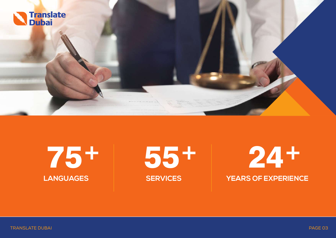

75+ 55+ 24+ **LANGUAGES SERVICES YEARS OF EXPERIENCE**

TRANSLATE DUBAI PAGE 03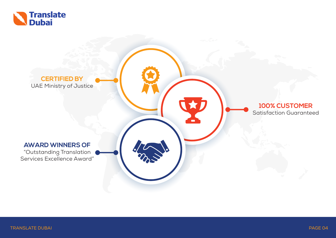

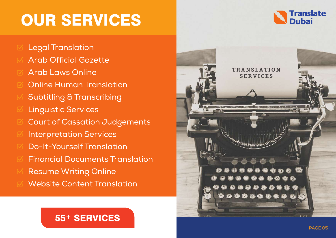## OUR SERVICES

- Legal Translation
- Arab Official Gazette
- Arab Laws Online
- Online Human Translation
- Subtitling & Transcribing
- Linguistic Services
- Court of Cassation Judgements
- Interpretation Services
- Do-It-Yourself Translation
- Financial Documents Translation
- Resume Writing Online
- Website Content Translation

### 55+ SERVICES



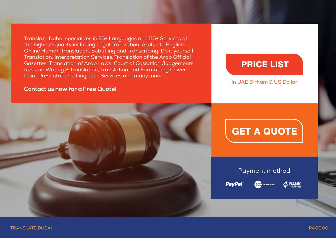Translate Dubai specializes in 75+ Languages and 55+ Services of the highest-quality including Legal Translation, Arabic to English Online Human Translation, Subtitling and Transcribing, Do it yourself Translation, Interpretation Services, Translation of the Arab Official Gazettes, Translation of Arab Laws, Court of Cassation Judgements, Resume Writing & Translation, Translation and Formatting Power-Point Presentations, Linguistic Services and many more.

#### **Contact us now for a Free Quote!**

### PRICE LIST

#### in UAE Dirham & US Dollar



### GET A QUOTE

#### Payment method

PayPa

 $2$  BANK 2CC 2CHECKOUT